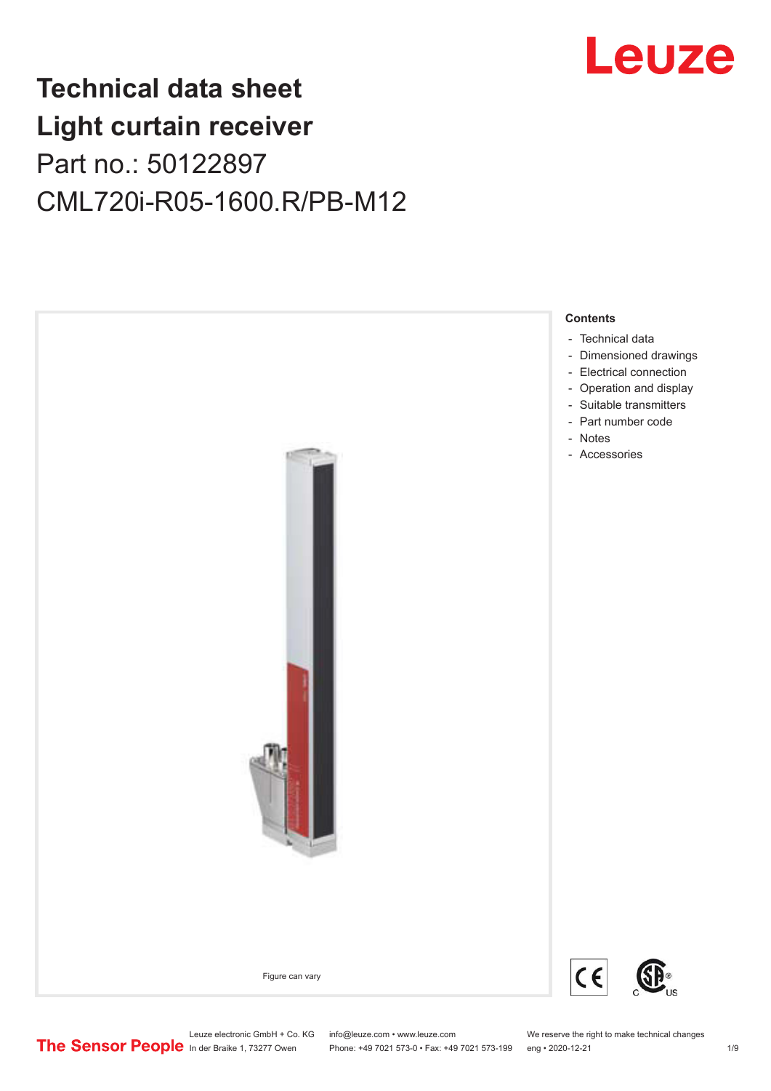

## **Technical data sheet Light curtain receiver** Part no.: 50122897 CML720i-R05-1600.R/PB-M12



Leuze electronic GmbH + Co. KG info@leuze.com • www.leuze.com We reserve the right to make technical changes<br>
The Sensor People in der Braike 1, 73277 Owen Phone: +49 7021 573-0 • Fax: +49 7021 573-199 eng • 2020-12-21 Phone: +49 7021 573-0 • Fax: +49 7021 573-199 eng • 2020-12-21 1 2020-12-21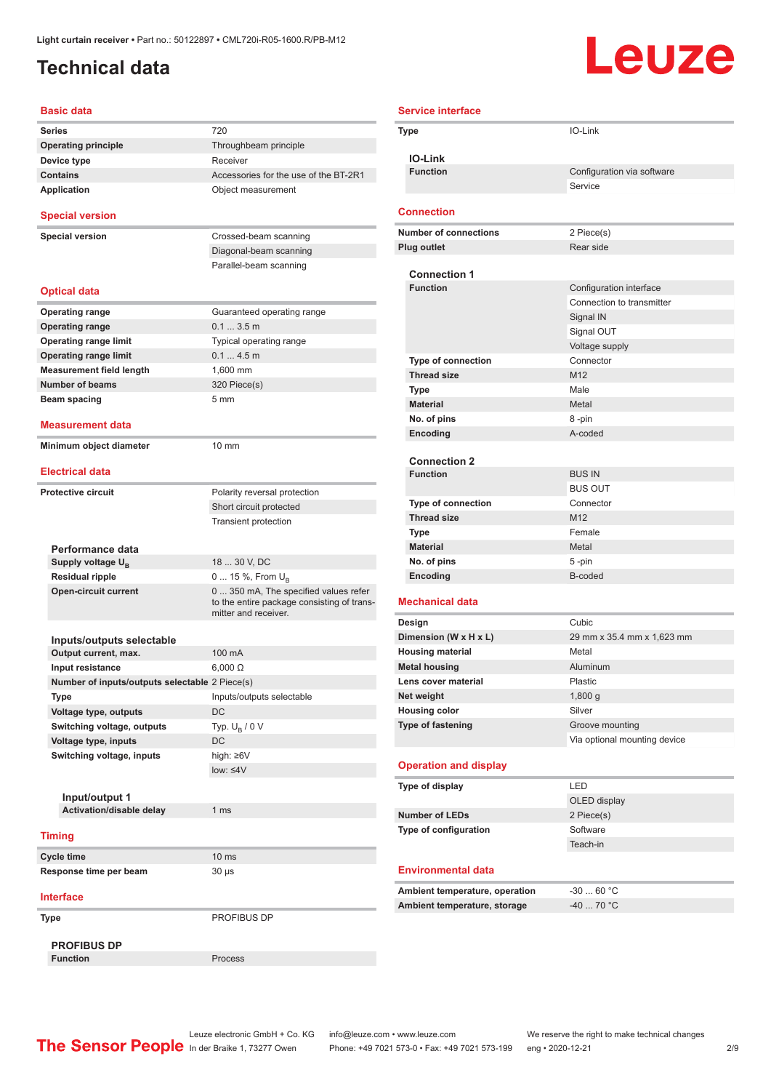### <span id="page-1-0"></span>**Technical data**

# Leuze

| <b>Basic data</b>                                 |                                                                                                             |
|---------------------------------------------------|-------------------------------------------------------------------------------------------------------------|
| <b>Series</b>                                     | 720                                                                                                         |
| <b>Operating principle</b>                        | Throughbeam principle                                                                                       |
| Device type                                       | Receiver                                                                                                    |
| <b>Contains</b>                                   | Accessories for the use of the BT-2R1                                                                       |
| <b>Application</b>                                | Object measurement                                                                                          |
| <b>Special version</b>                            |                                                                                                             |
| <b>Special version</b>                            | Crossed-beam scanning                                                                                       |
|                                                   | Diagonal-beam scanning                                                                                      |
|                                                   | Parallel-beam scanning                                                                                      |
| <b>Optical data</b>                               |                                                                                                             |
| <b>Operating range</b>                            | Guaranteed operating range                                                                                  |
| <b>Operating range</b>                            | 0.13.5m                                                                                                     |
| <b>Operating range limit</b>                      | Typical operating range                                                                                     |
| <b>Operating range limit</b>                      | 0.14.5m                                                                                                     |
| <b>Measurement field length</b>                   | 1.600 mm                                                                                                    |
| <b>Number of beams</b>                            | 320 Piece(s)                                                                                                |
| Beam spacing                                      | 5 <sub>mm</sub>                                                                                             |
| <b>Measurement data</b>                           |                                                                                                             |
| Minimum object diameter                           | 10 mm                                                                                                       |
| <b>Electrical data</b>                            |                                                                                                             |
|                                                   |                                                                                                             |
| <b>Protective circuit</b>                         | Polarity reversal protection                                                                                |
|                                                   | Short circuit protected                                                                                     |
|                                                   | <b>Transient protection</b>                                                                                 |
| Performance data                                  |                                                                                                             |
| Supply voltage U <sub>B</sub>                     | 18  30 V, DC                                                                                                |
| <b>Residual ripple</b>                            | 0  15 %, From $U_{\rm B}$                                                                                   |
| <b>Open-circuit current</b>                       | 0  350 mA, The specified values refer<br>to the entire package consisting of trans-<br>mitter and receiver. |
|                                                   |                                                                                                             |
| Inputs/outputs selectable<br>Output current, max. | 100 mA                                                                                                      |
|                                                   | $6,000 \Omega$                                                                                              |
| Input resistance                                  |                                                                                                             |
| Number of inputs/outputs selectable 2 Piece(s)    |                                                                                                             |
| Type                                              | Inputs/outputs selectable                                                                                   |
| Voltage type, outputs                             | <b>DC</b>                                                                                                   |
| Switching voltage, outputs                        | Typ. $U_R / 0 V$                                                                                            |
| Voltage type, inputs                              | <b>DC</b>                                                                                                   |
| Switching voltage, inputs                         | high: ≥6V                                                                                                   |
|                                                   | $low: 4V$                                                                                                   |
|                                                   |                                                                                                             |
| Input/output 1                                    | 1 <sub>ms</sub>                                                                                             |
| Activation/disable delay                          |                                                                                                             |
| <b>Timing</b>                                     |                                                                                                             |
| Cycle time                                        | 10 <sub>ms</sub>                                                                                            |
| Response time per beam                            | $30 \mu s$                                                                                                  |
| <b>Interface</b>                                  |                                                                                                             |
| Type                                              | PROFIBUS DP                                                                                                 |
|                                                   |                                                                                                             |
| <b>PROFIBUS DP</b><br><b>Function</b>             | Process                                                                                                     |
|                                                   |                                                                                                             |

| <b>Service interface</b>       |                              |
|--------------------------------|------------------------------|
| Type                           | IO-Link                      |
|                                |                              |
| <b>IO-Link</b>                 |                              |
| <b>Function</b>                | Configuration via software   |
|                                | Service                      |
| <b>Connection</b>              |                              |
|                                |                              |
| <b>Number of connections</b>   | 2 Piece(s)<br>Rear side      |
| <b>Plug outlet</b>             |                              |
| <b>Connection 1</b>            |                              |
| <b>Function</b>                | Configuration interface      |
|                                | Connection to transmitter    |
|                                | Signal IN                    |
|                                | Signal OUT                   |
|                                | Voltage supply               |
| <b>Type of connection</b>      | Connector                    |
| <b>Thread size</b>             | M <sub>12</sub>              |
| <b>Type</b>                    | Male                         |
| <b>Material</b>                | Metal                        |
| No. of pins                    | 8-pin                        |
| <b>Encoding</b>                | A-coded                      |
| <b>Connection 2</b>            |                              |
| <b>Function</b>                | <b>BUS IN</b>                |
|                                | <b>BUS OUT</b>               |
| <b>Type of connection</b>      | Connector                    |
| <b>Thread size</b>             | M <sub>12</sub>              |
| Type                           | Female                       |
| <b>Material</b>                | Metal                        |
| No. of pins                    | 5-pin                        |
| Encoding                       | B-coded                      |
| <b>Mechanical data</b>         |                              |
| Design                         | Cubic                        |
| Dimension (W x H x L)          | 29 mm x 35.4 mm x 1,623 mm   |
| <b>Housing material</b>        | Metal                        |
| <b>Metal housing</b>           | Aluminum                     |
| Lens cover material            | Plastic                      |
| Net weight                     | 1,800 g                      |
| <b>Housing color</b>           | Silver                       |
| Type of fastening              | Groove mounting              |
|                                | Via optional mounting device |
| <b>Operation and display</b>   |                              |
|                                |                              |
| Type of display                | LED                          |
| <b>Number of LEDs</b>          | OLED display                 |
| Type of configuration          | 2 Piece(s)<br>Software       |
|                                | Teach-in                     |
|                                |                              |
| <b>Environmental data</b>      |                              |
| Ambient temperature, operation | $-3060 °C$                   |
| Ambient temperature, storage   | $-40$ 70 °C                  |
|                                |                              |
|                                |                              |

Leuze electronic GmbH + Co. KG info@leuze.com • www.leuze.com We reserve the right to make technical changes In der Braike 1, 73277 Owen Phone: +49 7021 573-0 • Fax: +49 7021 573-199 eng • 2020-12-21 299 Phone: +49 7021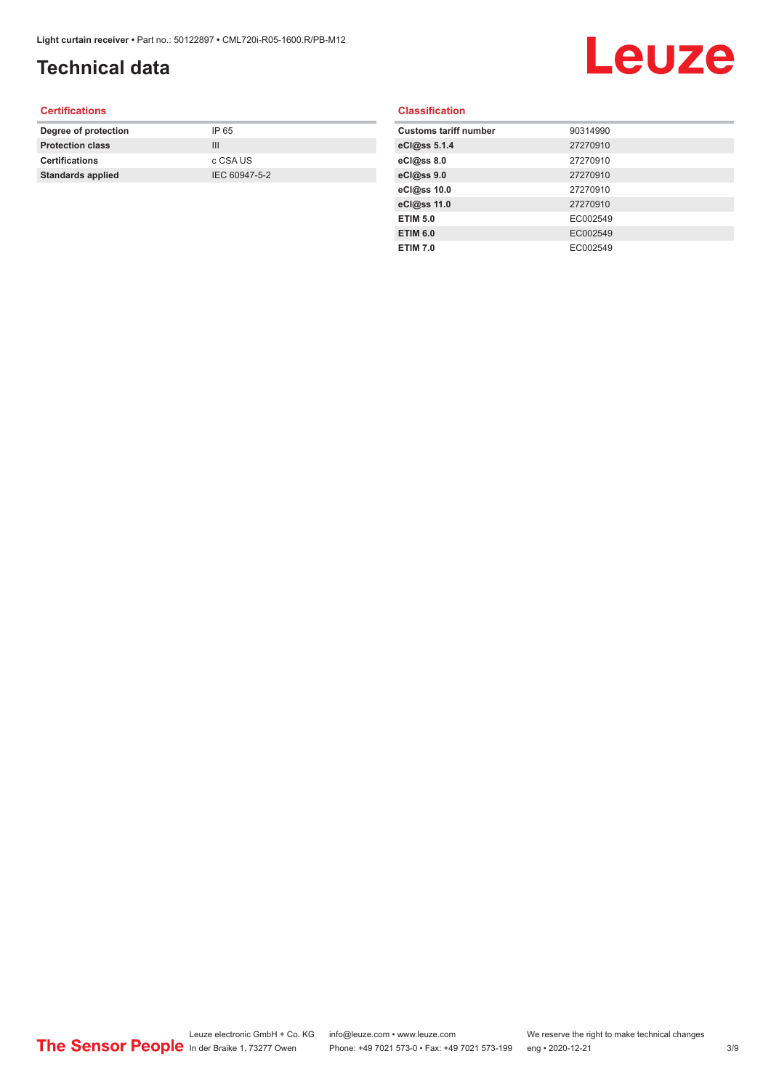## **Technical data**

# Leuze

#### **Certifications**

| Degree of protection     | IP 65         |
|--------------------------|---------------|
| <b>Protection class</b>  | Ш             |
| <b>Certifications</b>    | c CSA US      |
| <b>Standards applied</b> | IEC 60947-5-2 |
|                          |               |

#### **Classification**

| <b>Customs tariff number</b> | 90314990 |
|------------------------------|----------|
| eCl@ss 5.1.4                 | 27270910 |
| eCl@ss 8.0                   | 27270910 |
| eCl@ss 9.0                   | 27270910 |
| eCl@ss 10.0                  | 27270910 |
| eCl@ss 11.0                  | 27270910 |
| <b>ETIM 5.0</b>              | EC002549 |
| <b>ETIM 6.0</b>              | EC002549 |
| <b>ETIM 7.0</b>              | EC002549 |
|                              |          |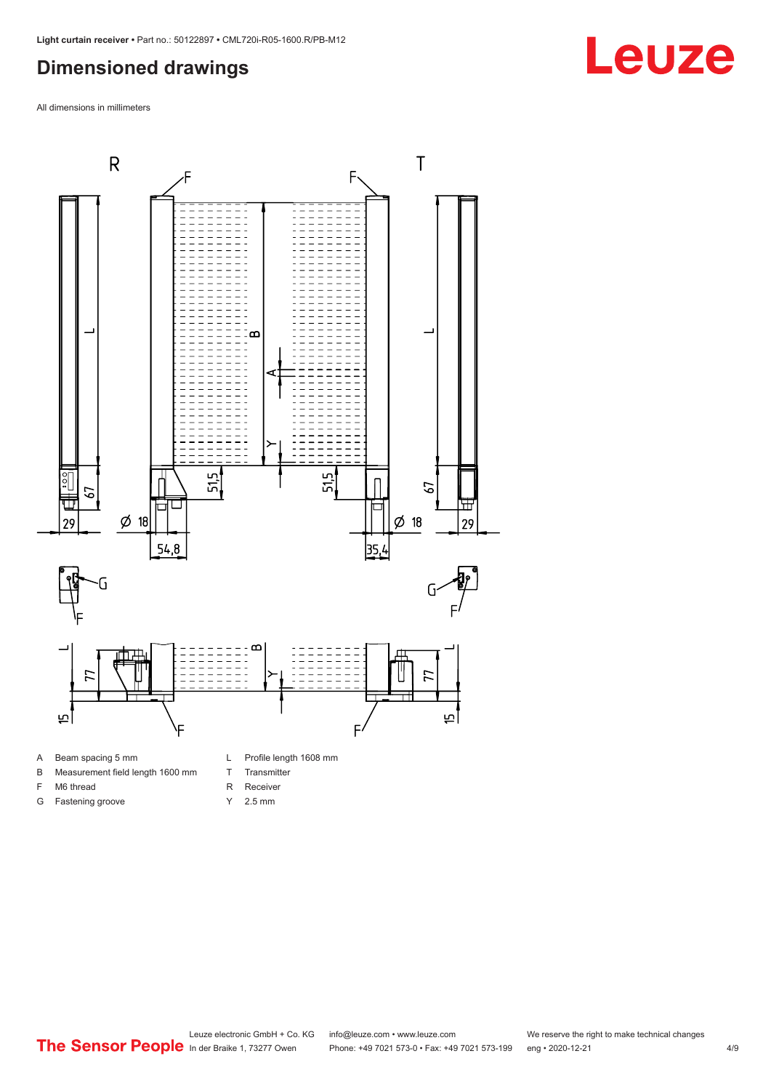#### <span id="page-3-0"></span>**Dimensioned drawings**

All dimensions in millimeters



A Beam spacing 5 mm

G Fastening groove

- B Measurement field length 1600 mm
- F M6 thread
- R Receiver
	- Y 2.5 mm

T Transmitter

## **Leuze**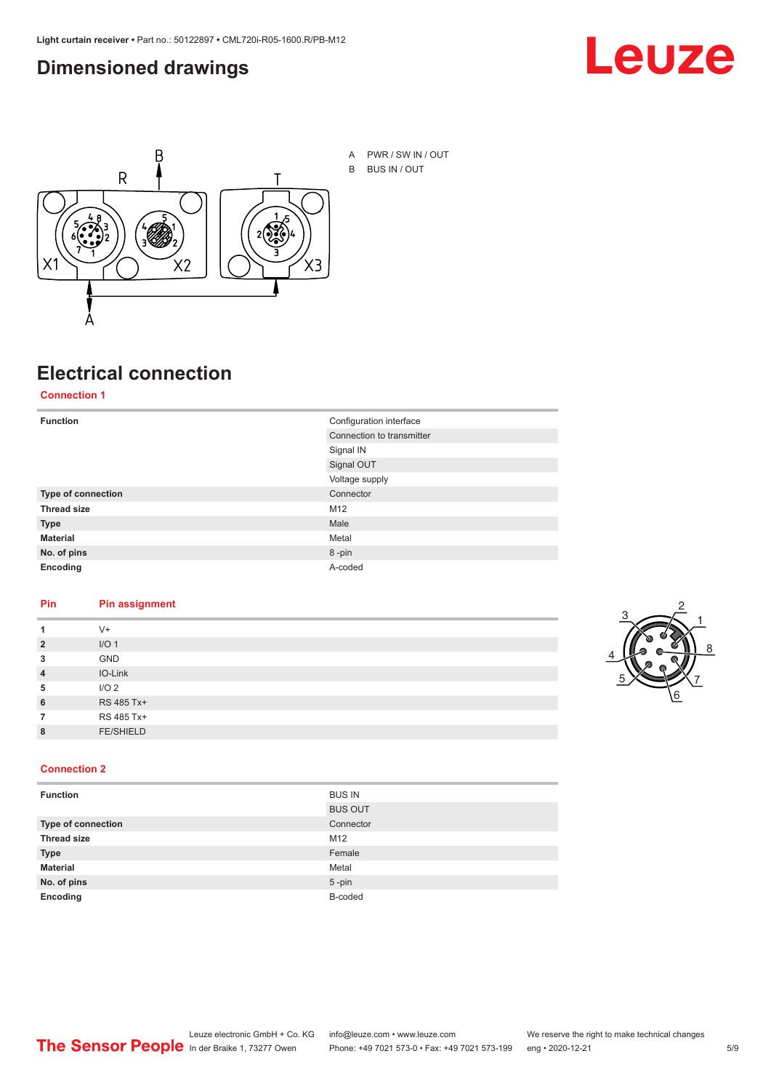#### <span id="page-4-0"></span>**Dimensioned drawings**





## **Electrical connection**

**Connection 1**

| <b>Function</b>    | Configuration interface   |  |
|--------------------|---------------------------|--|
|                    | Connection to transmitter |  |
|                    | Signal IN                 |  |
|                    | Signal OUT                |  |
|                    | Voltage supply            |  |
| Type of connection | Connector                 |  |
| <b>Thread size</b> | M12                       |  |
| <b>Type</b>        | Male                      |  |
| <b>Material</b>    | Metal                     |  |
| No. of pins        | 8-pin                     |  |
| Encoding           | A-coded                   |  |

#### **Pin Pin assignment**

| 1              | $V +$            |  |  |
|----------------|------------------|--|--|
| $\overline{2}$ | I/O <sub>1</sub> |  |  |
| 3              | <b>GND</b>       |  |  |
| $\overline{4}$ | IO-Link          |  |  |
| 5              | I/O <sub>2</sub> |  |  |
| 6              | RS 485 Tx+       |  |  |
| 7              | RS 485 Tx+       |  |  |
| 8              | <b>FE/SHIELD</b> |  |  |
|                |                  |  |  |



#### **Connection 2**

| <b>Function</b>    | <b>BUS IN</b>  |
|--------------------|----------------|
|                    | <b>BUS OUT</b> |
| Type of connection | Connector      |
| <b>Thread size</b> | M12            |
| <b>Type</b>        | Female         |
| <b>Material</b>    | Metal          |
| No. of pins        | $5$ -pin       |
| Encoding           | B-coded        |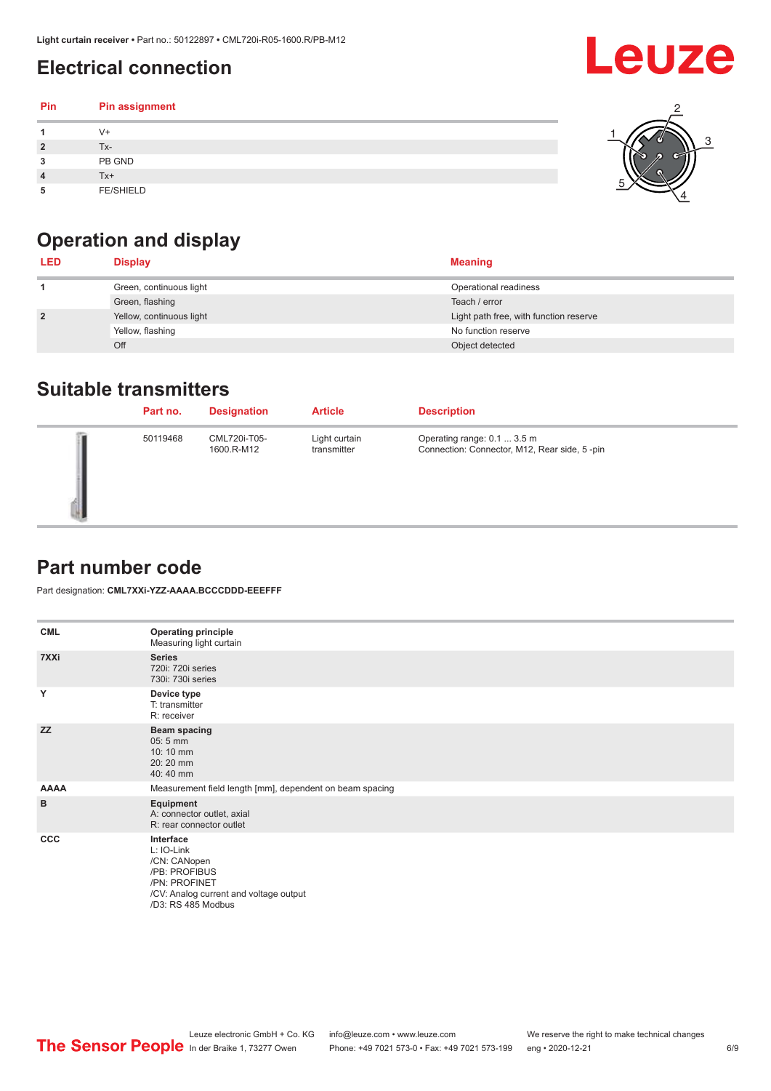## <span id="page-5-0"></span>**Electrical connection**

| Pin | Pin assignment   |  |
|-----|------------------|--|
|     | V+               |  |
| ∍   | Tx-              |  |
| 3   | PB GND           |  |
|     | Tx+              |  |
| 5   | <b>FE/SHIELD</b> |  |

## **Operation and display**

| <b>LED</b>     | <b>Display</b>           | <b>Meaning</b>                         |
|----------------|--------------------------|----------------------------------------|
|                | Green, continuous light  | Operational readiness                  |
|                | Green, flashing          | Teach / error                          |
| $\overline{2}$ | Yellow, continuous light | Light path free, with function reserve |
|                | Yellow, flashing         | No function reserve                    |
|                | Off                      | Object detected                        |

#### **Suitable transmitters**

| Part no. | <b>Designation</b>         | <b>Article</b>               | <b>Description</b>                                                          |
|----------|----------------------------|------------------------------|-----------------------------------------------------------------------------|
| 50119468 | CML720i-T05-<br>1600.R-M12 | Light curtain<br>transmitter | Operating range: 0.1  3.5 m<br>Connection: Connector, M12, Rear side, 5-pin |

#### **Part number code**

Part designation: **CML7XXi-YZZ-AAAA.BCCCDDD-EEEFFF**

| <b>CML</b>  | <b>Operating principle</b><br>Measuring light curtain                                                                                     |
|-------------|-------------------------------------------------------------------------------------------------------------------------------------------|
| 7XXi        | <b>Series</b><br>720i: 720i series<br>730i: 730i series                                                                                   |
| Y           | Device type<br>T: transmitter<br>R: receiver                                                                                              |
| <b>ZZ</b>   | <b>Beam spacing</b><br>$05:5$ mm<br>10:10 mm<br>20:20 mm<br>40:40 mm                                                                      |
| <b>AAAA</b> | Measurement field length [mm], dependent on beam spacing                                                                                  |
| B           | Equipment<br>A: connector outlet, axial<br>R: rear connector outlet                                                                       |
| CCC         | Interface<br>L: IO-Link<br>/CN: CANopen<br>/PB: PROFIBUS<br>/PN: PROFINET<br>/CV: Analog current and voltage output<br>/D3: RS 485 Modbus |

**Leuze**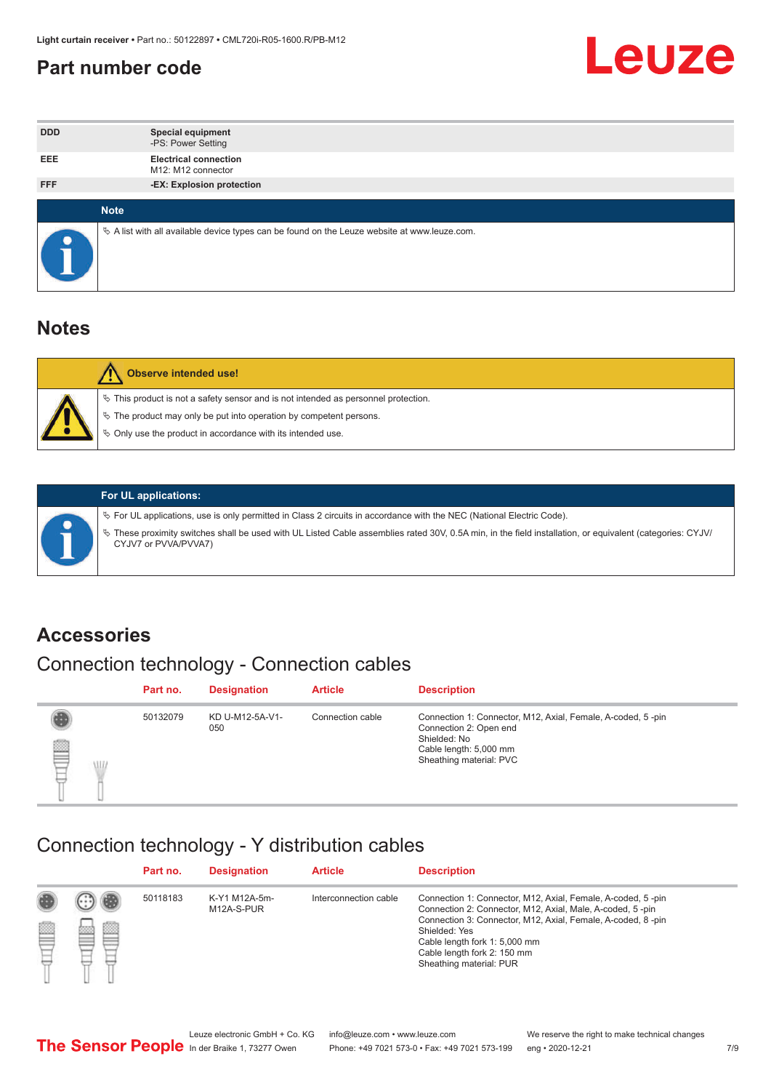#### <span id="page-6-0"></span>**Part number code**



| <b>DDD</b>  | <b>Special equipment</b><br>-PS: Power Setting                                                  |
|-------------|-------------------------------------------------------------------------------------------------|
| <b>EEE</b>  | <b>Electrical connection</b><br>M12: M12 connector                                              |
| <b>FFF</b>  | -EX: Explosion protection                                                                       |
| <b>Note</b> |                                                                                                 |
|             | $\&$ A list with all available device types can be found on the Leuze website at www.leuze.com. |

#### **Notes**

| Observe intended use!                                                                                                                                                                                                      |
|----------------------------------------------------------------------------------------------------------------------------------------------------------------------------------------------------------------------------|
| $\%$ This product is not a safety sensor and is not intended as personnel protection.<br>₹ The product may only be put into operation by competent persons.<br>♦ Only use the product in accordance with its intended use. |



#### **For UL applications:**

ª For UL applications, use is only permitted in Class 2 circuits in accordance with the NEC (National Electric Code). ª These proximity switches shall be used with UL Listed Cable assemblies rated 30V, 0.5A min, in the field installation, or equivalent (categories: CYJV/ CYJV7 or PVVA/PVVA7)

#### **Accessories**

### Connection technology - Connection cables

|         | Part no. | <b>Designation</b>     | <b>Article</b>   | <b>Description</b>                                                                                                                                         |
|---------|----------|------------------------|------------------|------------------------------------------------------------------------------------------------------------------------------------------------------------|
| ▤<br>WD | 50132079 | KD U-M12-5A-V1-<br>050 | Connection cable | Connection 1: Connector, M12, Axial, Female, A-coded, 5-pin<br>Connection 2: Open end<br>Shielded: No<br>Cable length: 5,000 mm<br>Sheathing material: PVC |

#### Connection technology - Y distribution cables

|        |   | Part no. | <b>Designation</b>          | <b>Article</b>        | <b>Description</b>                                                                                                                                                                                                                                                                                  |
|--------|---|----------|-----------------------------|-----------------------|-----------------------------------------------------------------------------------------------------------------------------------------------------------------------------------------------------------------------------------------------------------------------------------------------------|
| 圔<br>⋿ | Ø | 50118183 | K-Y1 M12A-5m-<br>M12A-S-PUR | Interconnection cable | Connection 1: Connector, M12, Axial, Female, A-coded, 5-pin<br>Connection 2: Connector, M12, Axial, Male, A-coded, 5-pin<br>Connection 3: Connector, M12, Axial, Female, A-coded, 8-pin<br>Shielded: Yes<br>Cable length fork 1: 5,000 mm<br>Cable length fork 2: 150 mm<br>Sheathing material: PUR |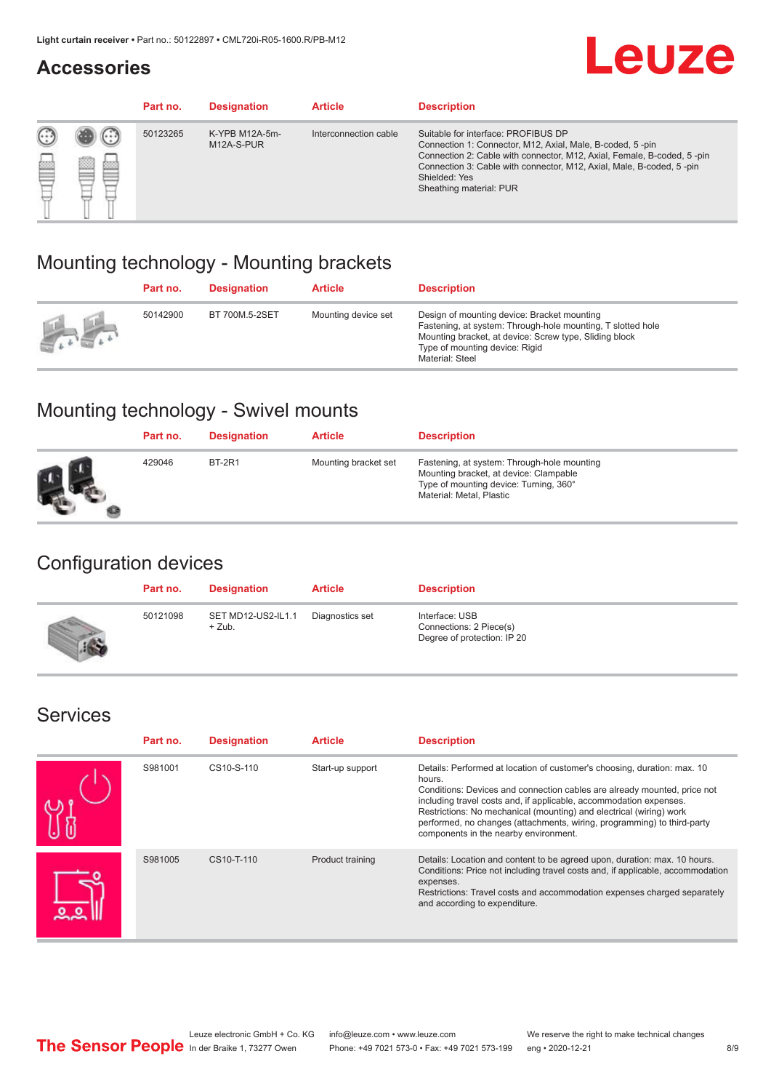#### **Accessories**

# **Leuze**

|     |        | Part no. | <b>Designation</b>           | <b>Article</b>        | <b>Description</b>                                                                                                                                                                                                                                                                             |
|-----|--------|----------|------------------------------|-----------------------|------------------------------------------------------------------------------------------------------------------------------------------------------------------------------------------------------------------------------------------------------------------------------------------------|
| 622 | æ<br>鍃 | 50123265 | K-YPB M12A-5m-<br>M12A-S-PUR | Interconnection cable | Suitable for interface: PROFIBUS DP<br>Connection 1: Connector, M12, Axial, Male, B-coded, 5-pin<br>Connection 2: Cable with connector, M12, Axial, Female, B-coded, 5-pin<br>Connection 3: Cable with connector, M12, Axial, Male, B-coded, 5-pin<br>Shielded: Yes<br>Sheathing material: PUR |

#### Mounting technology - Mounting brackets

|               | Part no. | <b>Designation</b> | <b>Article</b>      | <b>Description</b>                                                                                                                                                                                                        |
|---------------|----------|--------------------|---------------------|---------------------------------------------------------------------------------------------------------------------------------------------------------------------------------------------------------------------------|
| $\frac{1}{2}$ | 50142900 | BT 700M.5-2SET     | Mounting device set | Design of mounting device: Bracket mounting<br>Fastening, at system: Through-hole mounting, T slotted hole<br>Mounting bracket, at device: Screw type, Sliding block<br>Type of mounting device: Rigid<br>Material: Steel |

### Mounting technology - Swivel mounts

| Part no. | <b>Designation</b> | <b>Article</b>       | <b>Description</b>                                                                                                                                          |
|----------|--------------------|----------------------|-------------------------------------------------------------------------------------------------------------------------------------------------------------|
| 429046   | <b>BT-2R1</b>      | Mounting bracket set | Fastening, at system: Through-hole mounting<br>Mounting bracket, at device: Clampable<br>Type of mounting device: Turning, 360°<br>Material: Metal, Plastic |

#### Configuration devices

| Part no. | <b>Designation</b>             | <b>Article</b>  | <b>Description</b>                                                       |
|----------|--------------------------------|-----------------|--------------------------------------------------------------------------|
| 50121098 | SET MD12-US2-IL1.1<br>$+$ Zub. | Diagnostics set | Interface: USB<br>Connections: 2 Piece(s)<br>Degree of protection: IP 20 |

#### Services

| Part no. | <b>Designation</b> | <b>Article</b>   | <b>Description</b>                                                                                                                                                                                                                                                                                                                                                                                                              |
|----------|--------------------|------------------|---------------------------------------------------------------------------------------------------------------------------------------------------------------------------------------------------------------------------------------------------------------------------------------------------------------------------------------------------------------------------------------------------------------------------------|
| S981001  | CS10-S-110         | Start-up support | Details: Performed at location of customer's choosing, duration: max. 10<br>hours.<br>Conditions: Devices and connection cables are already mounted, price not<br>including travel costs and, if applicable, accommodation expenses.<br>Restrictions: No mechanical (mounting) and electrical (wiring) work<br>performed, no changes (attachments, wiring, programming) to third-party<br>components in the nearby environment. |
| S981005  | CS10-T-110         | Product training | Details: Location and content to be agreed upon, duration: max. 10 hours.<br>Conditions: Price not including travel costs and, if applicable, accommodation<br>expenses.<br>Restrictions: Travel costs and accommodation expenses charged separately<br>and according to expenditure.                                                                                                                                           |